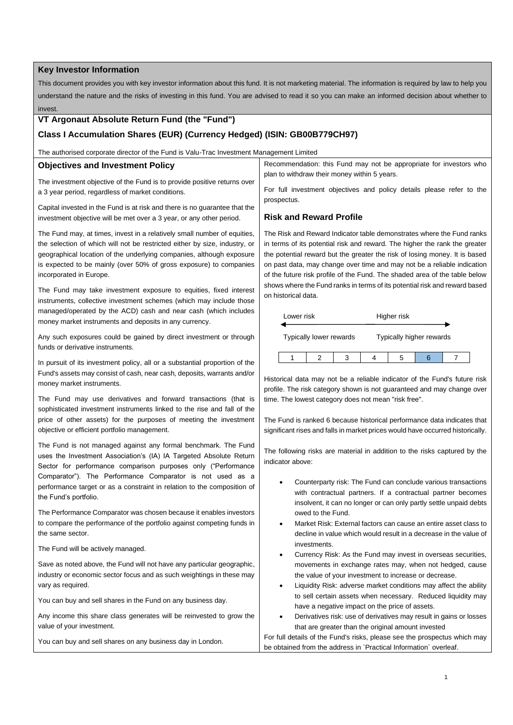### **Key Investor Information**

This document provides you with key investor information about this fund. It is not marketing material. The information is required by law to help you understand the nature and the risks of investing in this fund. You are advised to read it so you can make an informed decision about whether to invest.

## **VT Argonaut Absolute Return Fund (the "Fund")**

# **Class I Accumulation Shares (EUR) (Currency Hedged) (ISIN: GB00B779CH97)**

The authorised corporate director of the Fund is Valu-Trac Investment Management Limited

### **Objectives and Investment Policy**

The investment objective of the Fund is to provide positive returns over a 3 year period, regardless of market conditions.

Capital invested in the Fund is at risk and there is no guarantee that the investment objective will be met over a 3 year, or any other period.

The Fund may, at times, invest in a relatively small number of equities, the selection of which will not be restricted either by size, industry, or geographical location of the underlying companies, although exposure is expected to be mainly (over 50% of gross exposure) to companies incorporated in Europe.

The Fund may take investment exposure to equities, fixed interest instruments, collective investment schemes (which may include those managed/operated by the ACD) cash and near cash (which includes money market instruments and deposits in any currency.

Any such exposures could be gained by direct investment or through funds or derivative instruments.

In pursuit of its investment policy, all or a substantial proportion of the Fund's assets may consist of cash, near cash, deposits, warrants and/or money market instruments.

The Fund may use derivatives and forward transactions (that is sophisticated investment instruments linked to the rise and fall of the price of other assets) for the purposes of meeting the investment objective or efficient portfolio management.

The Fund is not managed against any formal benchmark. The Fund uses the Investment Association's (IA) IA Targeted Absolute Return Sector for performance comparison purposes only ("Performance Comparator"). The Performance Comparator is not used as a performance target or as a constraint in relation to the composition of the Fund's portfolio.

The Performance Comparator was chosen because it enables investors to compare the performance of the portfolio against competing funds in the same sector.

The Fund will be actively managed.

Save as noted above, the Fund will not have any particular geographic, industry or economic sector focus and as such weightings in these may vary as required.

You can buy and sell shares in the Fund on any business day.

Any income this share class generates will be reinvested to grow the value of your investment.

You can buy and sell shares on any business day in London.

Recommendation: this Fund may not be appropriate for investors who plan to withdraw their money within 5 years.

For full investment objectives and policy details please refer to the prospectus.

## **Risk and Reward Profile**

The Risk and Reward Indicator table demonstrates where the Fund ranks in terms of its potential risk and reward. The higher the rank the greater the potential reward but the greater the risk of losing money. It is based on past data, may change over time and may not be a reliable indication of the future risk profile of the Fund. The shaded area of the table below shows where the Fund ranks in terms of its potential risk and reward based on historical data.

| Lower risk              |  |  | Higher risk              |   |  |  |
|-------------------------|--|--|--------------------------|---|--|--|
| Typically lower rewards |  |  | Typically higher rewards |   |  |  |
|                         |  |  |                          | h |  |  |

Historical data may not be a reliable indicator of the Fund's future risk profile. The risk category shown is not guaranteed and may change over time. The lowest category does not mean "risk free".

The Fund is ranked 6 because historical performance data indicates that significant rises and falls in market prices would have occurred historically.

The following risks are material in addition to the risks captured by the indicator above:

- Counterparty risk: The Fund can conclude various transactions with contractual partners. If a contractual partner becomes insolvent, it can no longer or can only partly settle unpaid debts owed to the Fund.
- Market Risk: External factors can cause an entire asset class to decline in value which would result in a decrease in the value of investments
- Currency Risk: As the Fund may invest in overseas securities, movements in exchange rates may, when not hedged, cause the value of your investment to increase or decrease.
- Liquidity Risk: adverse market conditions may affect the ability to sell certain assets when necessary. Reduced liquidity may have a negative impact on the price of assets.
- Derivatives risk: use of derivatives may result in gains or losses that are greater than the original amount invested

For full details of the Fund's risks, please see the prospectus which may be obtained from the address in `Practical Information` overleaf.